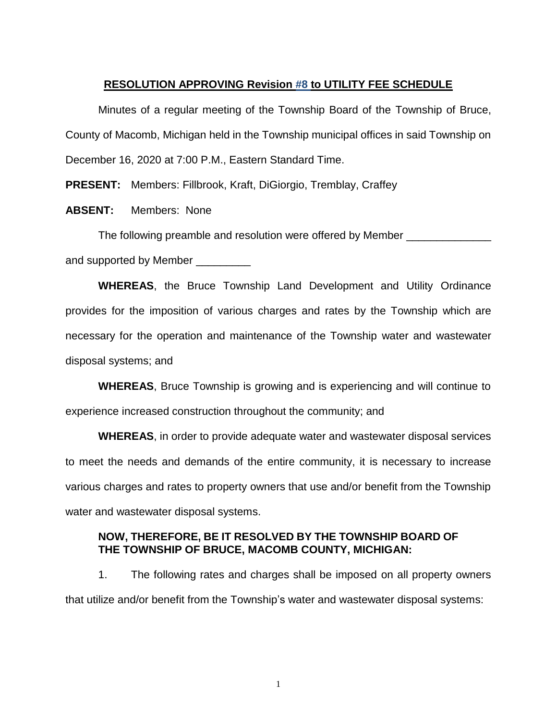#### **RESOLUTION APPROVING Revision #8 to UTILITY FEE SCHEDULE**

Minutes of a regular meeting of the Township Board of the Township of Bruce, County of Macomb, Michigan held in the Township municipal offices in said Township on December 16, 2020 at 7:00 P.M., Eastern Standard Time.

**PRESENT:** Members: Fillbrook, Kraft, DiGiorgio, Tremblay, Craffey

**ABSENT:** Members: None

The following preamble and resolution were offered by Member

and supported by Member

**WHEREAS**, the Bruce Township Land Development and Utility Ordinance provides for the imposition of various charges and rates by the Township which are necessary for the operation and maintenance of the Township water and wastewater disposal systems; and

**WHEREAS**, Bruce Township is growing and is experiencing and will continue to experience increased construction throughout the community; and

**WHEREAS**, in order to provide adequate water and wastewater disposal services to meet the needs and demands of the entire community, it is necessary to increase various charges and rates to property owners that use and/or benefit from the Township water and wastewater disposal systems.

#### **NOW, THEREFORE, BE IT RESOLVED BY THE TOWNSHIP BOARD OF THE TOWNSHIP OF BRUCE, MACOMB COUNTY, MICHIGAN:**

1. The following rates and charges shall be imposed on all property owners that utilize and/or benefit from the Township's water and wastewater disposal systems:

1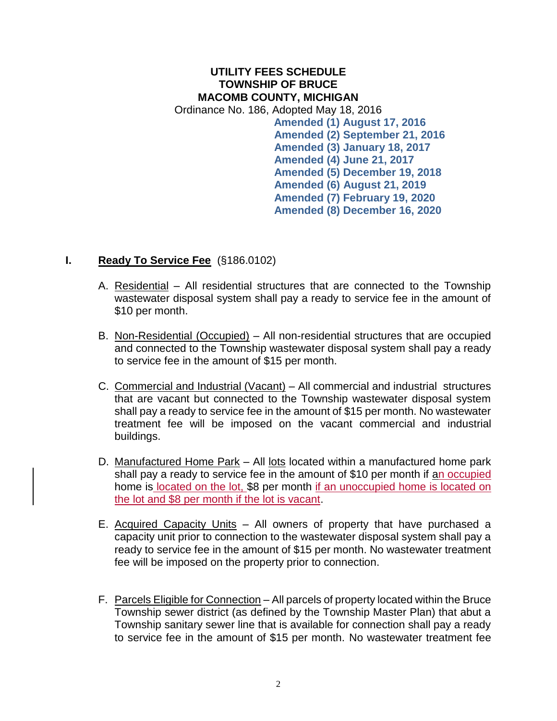### **UTILITY FEES SCHEDULE TOWNSHIP OF BRUCE MACOMB COUNTY, MICHIGAN** Ordinance No. 186, Adopted May 18, 2016 **Amended (1) August 17, 2016 Amended (2) September 21, 2016 Amended (3) January 18, 2017 Amended (4) June 21, 2017 Amended (5) December 19, 2018 Amended (6) August 21, 2019 Amended (7) February 19, 2020 Amended (8) December 16, 2020**

### **I. Ready To Service Fee** (§186.0102)

- A. Residential All residential structures that are connected to the Township wastewater disposal system shall pay a ready to service fee in the amount of \$10 per month.
- B. Non-Residential (Occupied) All non-residential structures that are occupied and connected to the Township wastewater disposal system shall pay a ready to service fee in the amount of \$15 per month.
- C. Commercial and Industrial (Vacant) All commercial and industrial structures that are vacant but connected to the Township wastewater disposal system shall pay a ready to service fee in the amount of \$15 per month. No wastewater treatment fee will be imposed on the vacant commercial and industrial buildings.
- D. Manufactured Home Park All lots located within a manufactured home park shall pay a ready to service fee in the amount of \$10 per month if an occupied home is located on the lot, \$8 per month if an unoccupied home is located on the lot and \$8 per month if the lot is vacant.
- E. Acquired Capacity Units All owners of property that have purchased a capacity unit prior to connection to the wastewater disposal system shall pay a ready to service fee in the amount of \$15 per month. No wastewater treatment fee will be imposed on the property prior to connection.
- F. Parcels Eligible for Connection All parcels of property located within the Bruce Township sewer district (as defined by the Township Master Plan) that abut a Township sanitary sewer line that is available for connection shall pay a ready to service fee in the amount of \$15 per month. No wastewater treatment fee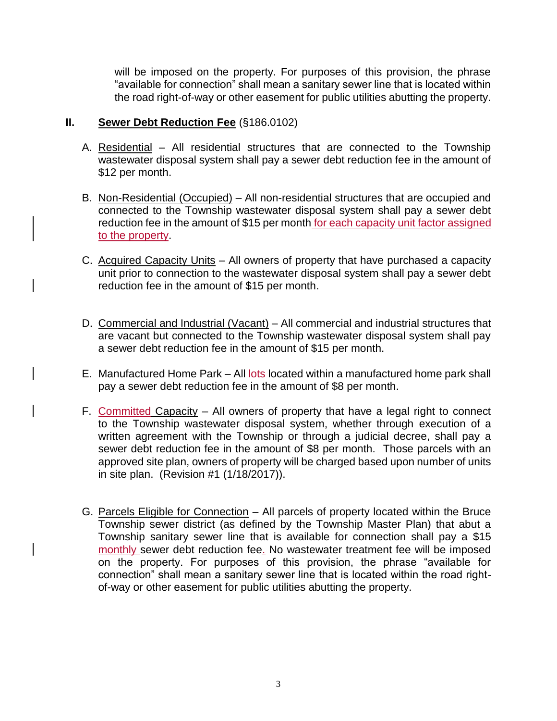will be imposed on the property. For purposes of this provision, the phrase "available for connection" shall mean a sanitary sewer line that is located within the road right-of-way or other easement for public utilities abutting the property.

### **II. Sewer Debt Reduction Fee** (§186.0102)

- A. Residential All residential structures that are connected to the Township wastewater disposal system shall pay a sewer debt reduction fee in the amount of \$12 per month.
- B. Non-Residential (Occupied) All non-residential structures that are occupied and connected to the Township wastewater disposal system shall pay a sewer debt reduction fee in the amount of \$15 per month for each capacity unit factor assigned to the property.
- C. Acquired Capacity Units All owners of property that have purchased a capacity unit prior to connection to the wastewater disposal system shall pay a sewer debt reduction fee in the amount of \$15 per month.
- D. Commercial and Industrial (Vacant) All commercial and industrial structures that are vacant but connected to the Township wastewater disposal system shall pay a sewer debt reduction fee in the amount of \$15 per month.
- E. Manufactured Home Park All lots located within a manufactured home park shall pay a sewer debt reduction fee in the amount of \$8 per month.
- F. Committed Capacity  $-$  All owners of property that have a legal right to connect to the Township wastewater disposal system, whether through execution of a written agreement with the Township or through a judicial decree, shall pay a sewer debt reduction fee in the amount of \$8 per month. Those parcels with an approved site plan, owners of property will be charged based upon number of units in site plan. (Revision #1 (1/18/2017)).
- G. Parcels Eligible for Connection All parcels of property located within the Bruce Township sewer district (as defined by the Township Master Plan) that abut a Township sanitary sewer line that is available for connection shall pay a \$15 monthly sewer debt reduction fee. No wastewater treatment fee will be imposed on the property. For purposes of this provision, the phrase "available for connection" shall mean a sanitary sewer line that is located within the road rightof-way or other easement for public utilities abutting the property.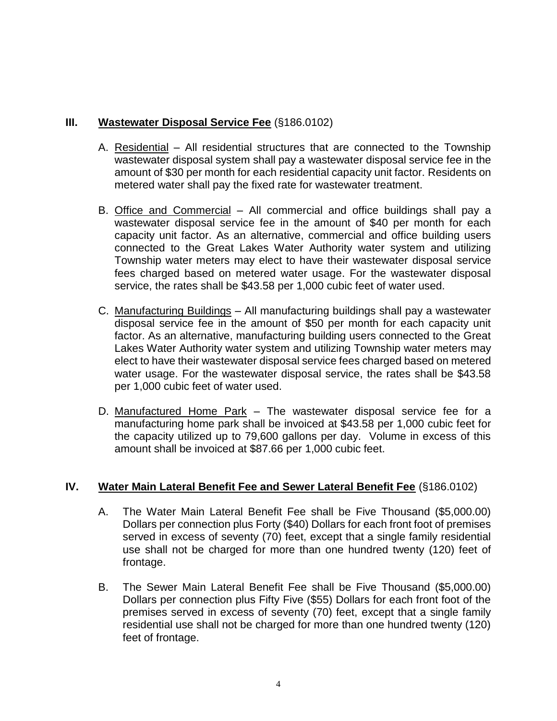# **III. Wastewater Disposal Service Fee** (§186.0102)

- A. Residential All residential structures that are connected to the Township wastewater disposal system shall pay a wastewater disposal service fee in the amount of \$30 per month for each residential capacity unit factor. Residents on metered water shall pay the fixed rate for wastewater treatment.
- B. Office and Commercial All commercial and office buildings shall pay a wastewater disposal service fee in the amount of \$40 per month for each capacity unit factor. As an alternative, commercial and office building users connected to the Great Lakes Water Authority water system and utilizing Township water meters may elect to have their wastewater disposal service fees charged based on metered water usage. For the wastewater disposal service, the rates shall be \$43.58 per 1,000 cubic feet of water used.
- C. Manufacturing Buildings All manufacturing buildings shall pay a wastewater disposal service fee in the amount of \$50 per month for each capacity unit factor. As an alternative, manufacturing building users connected to the Great Lakes Water Authority water system and utilizing Township water meters may elect to have their wastewater disposal service fees charged based on metered water usage. For the wastewater disposal service, the rates shall be \$43.58 per 1,000 cubic feet of water used.
- D. Manufactured Home Park The wastewater disposal service fee for a manufacturing home park shall be invoiced at \$43.58 per 1,000 cubic feet for the capacity utilized up to 79,600 gallons per day. Volume in excess of this amount shall be invoiced at \$87.66 per 1,000 cubic feet.

## **IV. Water Main Lateral Benefit Fee and Sewer Lateral Benefit Fee** (§186.0102)

- A. The Water Main Lateral Benefit Fee shall be Five Thousand (\$5,000.00) Dollars per connection plus Forty (\$40) Dollars for each front foot of premises served in excess of seventy (70) feet, except that a single family residential use shall not be charged for more than one hundred twenty (120) feet of frontage.
- B. The Sewer Main Lateral Benefit Fee shall be Five Thousand (\$5,000.00) Dollars per connection plus Fifty Five (\$55) Dollars for each front foot of the premises served in excess of seventy (70) feet, except that a single family residential use shall not be charged for more than one hundred twenty (120) feet of frontage.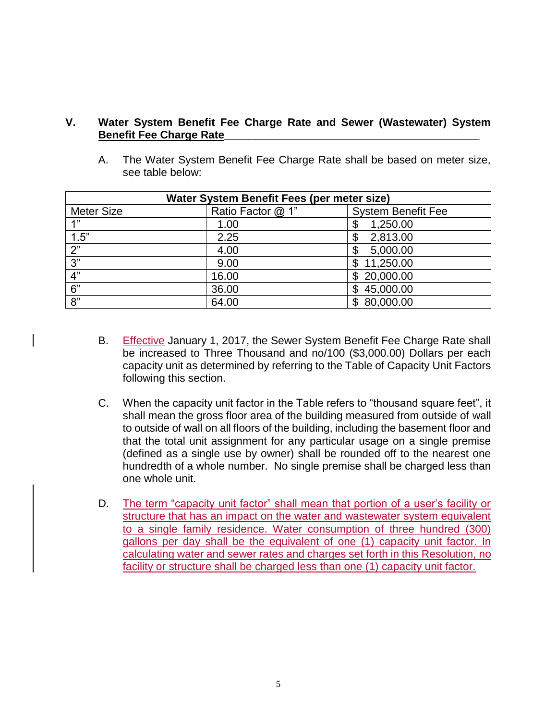### **V. Water System Benefit Fee Charge Rate and Sewer (Wastewater) System Benefit Fee Charge Rate\_\_\_\_\_\_\_\_\_\_\_\_\_\_\_\_\_\_\_\_\_\_\_\_\_\_\_\_\_\_\_\_\_\_\_\_\_\_\_\_\_\_**

A. The Water System Benefit Fee Charge Rate shall be based on meter size, see table below:

| Water System Benefit Fees (per meter size) |                   |                           |
|--------------------------------------------|-------------------|---------------------------|
| <b>Meter Size</b>                          | Ratio Factor @ 1" | <b>System Benefit Fee</b> |
| 1"                                         | 1.00              | 1,250.00                  |
| 1.5"                                       | 2.25              | 2,813.00<br>\$            |
| 2"                                         | 4.00              | 5,000.00<br>\$            |
| 3"                                         | 9.00              | \$11,250.00               |
| 4"                                         | 16.00             | \$20,000.00               |
| 6"                                         | 36.00             | 45,000.00                 |
| 8"                                         | 64.00             | \$80,000.00               |

- B. Effective January 1, 2017, the Sewer System Benefit Fee Charge Rate shall be increased to Three Thousand and no/100 (\$3,000.00) Dollars per each capacity unit as determined by referring to the Table of Capacity Unit Factors following this section.
- C. When the capacity unit factor in the Table refers to "thousand square feet", it shall mean the gross floor area of the building measured from outside of wall to outside of wall on all floors of the building, including the basement floor and that the total unit assignment for any particular usage on a single premise (defined as a single use by owner) shall be rounded off to the nearest one hundredth of a whole number. No single premise shall be charged less than one whole unit.
- D. The term "capacity unit factor" shall mean that portion of a user's facility or structure that has an impact on the water and wastewater system equivalent to a single family residence. Water consumption of three hundred (300) gallons per day shall be the equivalent of one (1) capacity unit factor. In calculating water and sewer rates and charges set forth in this Resolution, no facility or structure shall be charged less than one (1) capacity unit factor.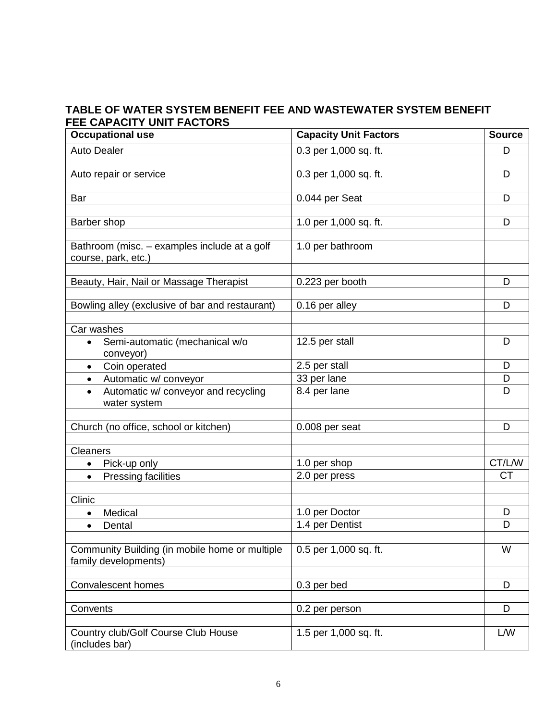# **TABLE OF WATER SYSTEM BENEFIT FEE AND WASTEWATER SYSTEM BENEFIT FEE CAPACITY UNIT FACTORS**

| <b>Occupational use</b>                             | <b>Capacity Unit Factors</b> | <b>Source</b> |
|-----------------------------------------------------|------------------------------|---------------|
| <b>Auto Dealer</b>                                  | 0.3 per 1,000 sq. ft.        | D             |
|                                                     |                              |               |
| Auto repair or service                              | 0.3 per 1,000 sq. ft.        | D             |
|                                                     |                              |               |
| Bar                                                 | 0.044 per Seat               | D             |
|                                                     |                              |               |
| Barber shop                                         | 1.0 per 1,000 sq. ft.        | D             |
| Bathroom (misc. - examples include at a golf        | 1.0 per bathroom             |               |
| course, park, etc.)                                 |                              |               |
|                                                     |                              |               |
| Beauty, Hair, Nail or Massage Therapist             | 0.223 per booth              | D             |
|                                                     |                              |               |
| Bowling alley (exclusive of bar and restaurant)     | 0.16 per alley               | D             |
|                                                     |                              |               |
| Car washes                                          |                              |               |
| Semi-automatic (mechanical w/o<br>$\bullet$         | 12.5 per stall               | D             |
| conveyor)                                           |                              | D             |
| Coin operated<br>$\bullet$                          | 2.5 per stall<br>33 per lane | D             |
| Automatic w/ conveyor<br>$\bullet$<br>$\bullet$     | 8.4 per lane                 | D             |
| Automatic w/ conveyor and recycling<br>water system |                              |               |
|                                                     |                              |               |
| Church (no office, school or kitchen)               | 0.008 per seat               | D             |
|                                                     |                              |               |
| <b>Cleaners</b>                                     |                              |               |
| Pick-up only<br>$\bullet$                           | 1.0 per shop                 | CT/L/W        |
| <b>Pressing facilities</b><br>$\bullet$             | 2.0 per press                | <b>CT</b>     |
|                                                     |                              |               |
| Clinic                                              |                              |               |
| Medical<br>$\bullet$                                | 1.0 per Doctor               | D             |
| Dental<br>$\bullet$                                 | 1.4 per Dentist              | D             |
|                                                     |                              |               |
| Community Building (in mobile home or multiple      | 0.5 per 1,000 sq. ft.        | W             |
| family developments)                                |                              |               |
| <b>Convalescent homes</b>                           | 0.3 per bed                  | D             |
|                                                     |                              |               |
| Convents                                            | 0.2 per person               | D             |
|                                                     |                              |               |
| Country club/Golf Course Club House                 | 1.5 per 1,000 sq. ft.        | L/W           |
| (includes bar)                                      |                              |               |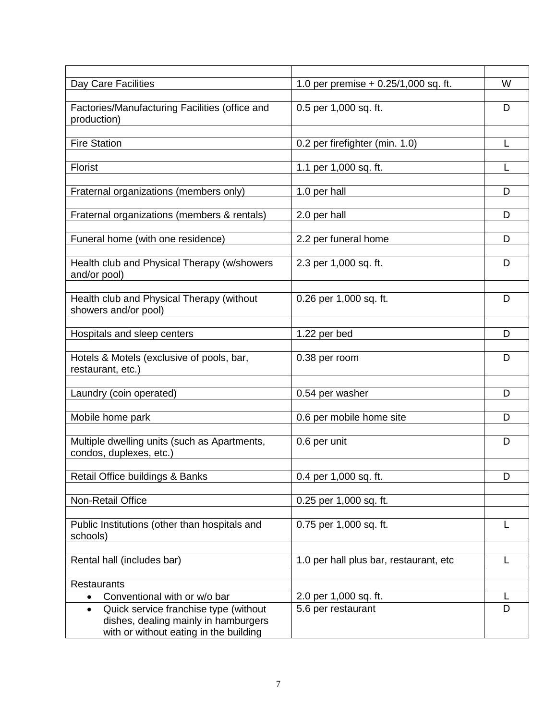| Day Care Facilities                                                                                                                  | 1.0 per premise $+ 0.25/1,000$ sq. ft. | W |
|--------------------------------------------------------------------------------------------------------------------------------------|----------------------------------------|---|
| Factories/Manufacturing Facilities (office and<br>production)                                                                        | 0.5 per 1,000 sq. ft.                  | D |
| <b>Fire Station</b>                                                                                                                  | 0.2 per firefighter (min. 1.0)         |   |
| Florist                                                                                                                              | 1.1 per 1,000 sq. ft.                  |   |
| Fraternal organizations (members only)                                                                                               | 1.0 per hall                           | D |
| Fraternal organizations (members & rentals)                                                                                          | 2.0 per hall                           | D |
| Funeral home (with one residence)                                                                                                    | 2.2 per funeral home                   | D |
| Health club and Physical Therapy (w/showers<br>and/or pool)                                                                          | 2.3 per 1,000 sq. ft.                  | D |
| Health club and Physical Therapy (without<br>showers and/or pool)                                                                    | 0.26 per 1,000 sq. ft.                 | D |
| Hospitals and sleep centers                                                                                                          | 1.22 per bed                           | D |
| Hotels & Motels (exclusive of pools, bar,<br>restaurant, etc.)                                                                       | 0.38 per room                          | D |
| Laundry (coin operated)                                                                                                              | 0.54 per washer                        | D |
| Mobile home park                                                                                                                     | 0.6 per mobile home site               | D |
| Multiple dwelling units (such as Apartments,<br>condos, duplexes, etc.)                                                              | 0.6 per unit                           | D |
| Retail Office buildings & Banks                                                                                                      | $0.4$ per 1,000 sq. ft.                | D |
| Non-Retail Office                                                                                                                    | 0.25 per 1,000 sq. ft.                 |   |
| Public Institutions (other than hospitals and<br>schools)                                                                            | 0.75 per 1,000 sq. ft.                 |   |
| Rental hall (includes bar)                                                                                                           | 1.0 per hall plus bar, restaurant, etc |   |
| <b>Restaurants</b>                                                                                                                   |                                        |   |
| Conventional with or w/o bar<br>$\bullet$                                                                                            | 2.0 per 1,000 sq. ft.                  |   |
| Quick service franchise type (without<br>$\bullet$<br>dishes, dealing mainly in hamburgers<br>with or without eating in the building | 5.6 per restaurant                     | D |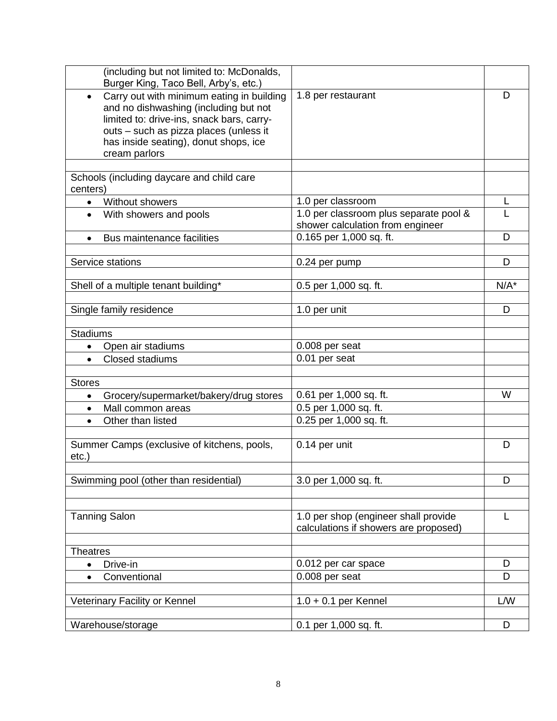| (including but not limited to: McDonalds,<br>Burger King, Taco Bell, Arby's, etc.)                                                                                                                                                               |                                                                               |         |
|--------------------------------------------------------------------------------------------------------------------------------------------------------------------------------------------------------------------------------------------------|-------------------------------------------------------------------------------|---------|
| Carry out with minimum eating in building<br>$\bullet$<br>and no dishwashing (including but not<br>limited to: drive-ins, snack bars, carry-<br>outs - such as pizza places (unless it<br>has inside seating), donut shops, ice<br>cream parlors | 1.8 per restaurant                                                            | D       |
| Schools (including daycare and child care<br>centers)                                                                                                                                                                                            |                                                                               |         |
| <b>Without showers</b><br>$\bullet$                                                                                                                                                                                                              | 1.0 per classroom                                                             | L       |
| With showers and pools<br>$\bullet$                                                                                                                                                                                                              | 1.0 per classroom plus separate pool &<br>shower calculation from engineer    |         |
| Bus maintenance facilities<br>$\bullet$                                                                                                                                                                                                          | 0.165 per 1,000 sq. ft.                                                       | D       |
| Service stations                                                                                                                                                                                                                                 | 0.24 per pump                                                                 | D       |
| Shell of a multiple tenant building*                                                                                                                                                                                                             | 0.5 per 1,000 sq. ft.                                                         | $N/A^*$ |
| Single family residence                                                                                                                                                                                                                          | 1.0 per unit                                                                  | D       |
| <b>Stadiums</b>                                                                                                                                                                                                                                  |                                                                               |         |
| Open air stadiums<br>$\bullet$                                                                                                                                                                                                                   | 0.008 per seat                                                                |         |
| Closed stadiums<br>$\bullet$                                                                                                                                                                                                                     | 0.01 per seat                                                                 |         |
| <b>Stores</b>                                                                                                                                                                                                                                    |                                                                               |         |
| Grocery/supermarket/bakery/drug stores<br>$\bullet$                                                                                                                                                                                              | 0.61 per 1,000 sq. ft.                                                        | W       |
| Mall common areas<br>$\bullet$                                                                                                                                                                                                                   | 0.5 per 1,000 sq. ft.                                                         |         |
| Other than listed<br>$\bullet$                                                                                                                                                                                                                   | 0.25 per 1,000 sq. ft.                                                        |         |
| Summer Camps (exclusive of kitchens, pools,<br>$etc.$ )                                                                                                                                                                                          | 0.14 per unit                                                                 | D       |
| Swimming pool (other than residential)                                                                                                                                                                                                           | 3.0 per 1,000 sq. ft.                                                         | D       |
|                                                                                                                                                                                                                                                  |                                                                               |         |
| <b>Tanning Salon</b>                                                                                                                                                                                                                             | 1.0 per shop (engineer shall provide<br>calculations if showers are proposed) | L       |
| <b>Theatres</b>                                                                                                                                                                                                                                  |                                                                               |         |
| Drive-in<br>$\bullet$                                                                                                                                                                                                                            | 0.012 per car space                                                           | D       |
| Conventional<br>$\bullet$                                                                                                                                                                                                                        | 0.008 per seat                                                                | D       |
| Veterinary Facility or Kennel                                                                                                                                                                                                                    | $1.0 + 0.1$ per Kennel                                                        | L/W     |
| Warehouse/storage                                                                                                                                                                                                                                | 0.1 per 1,000 sq. ft.                                                         | D       |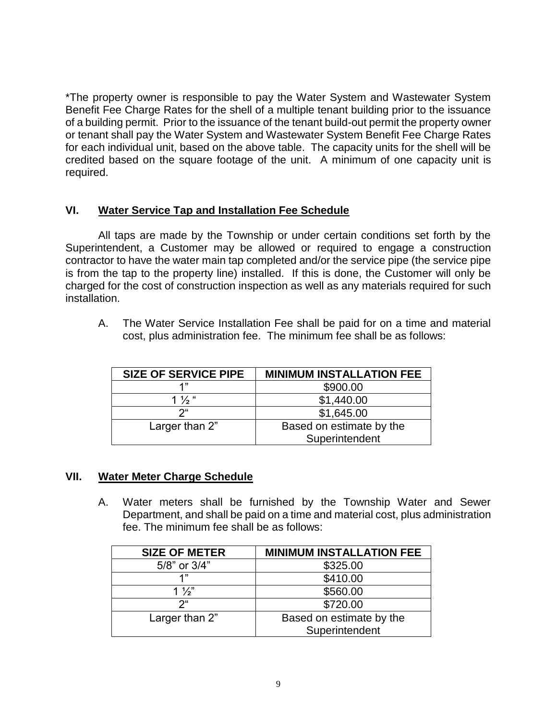\*The property owner is responsible to pay the Water System and Wastewater System Benefit Fee Charge Rates for the shell of a multiple tenant building prior to the issuance of a building permit. Prior to the issuance of the tenant build-out permit the property owner or tenant shall pay the Water System and Wastewater System Benefit Fee Charge Rates for each individual unit, based on the above table. The capacity units for the shell will be credited based on the square footage of the unit. A minimum of one capacity unit is required.

## **VI. Water Service Tap and Installation Fee Schedule**

All taps are made by the Township or under certain conditions set forth by the Superintendent, a Customer may be allowed or required to engage a construction contractor to have the water main tap completed and/or the service pipe (the service pipe is from the tap to the property line) installed. If this is done, the Customer will only be charged for the cost of construction inspection as well as any materials required for such installation.

A. The Water Service Installation Fee shall be paid for on a time and material cost, plus administration fee. The minimum fee shall be as follows:

| <b>SIZE OF SERVICE PIPE</b> | <b>MINIMUM INSTALLATION FEE</b> |
|-----------------------------|---------------------------------|
| 4"                          | \$900.00                        |
| 1 $\frac{1}{2}$ "           | \$1,440.00                      |
| າ"                          | \$1,645.00                      |
| Larger than 2"              | Based on estimate by the        |
|                             | Superintendent                  |

### **VII. Water Meter Charge Schedule**

A. Water meters shall be furnished by the Township Water and Sewer Department, and shall be paid on a time and material cost, plus administration fee. The minimum fee shall be as follows:

| <b>SIZE OF METER</b> | <b>MINIMUM INSTALLATION FEE</b> |
|----------------------|---------------------------------|
| 5/8" or 3/4"         | \$325.00                        |
| 1"                   | \$410.00                        |
| $1\frac{1}{2}$       | \$560.00                        |
| $2^{\mu}$            | \$720.00                        |
| Larger than 2"       | Based on estimate by the        |
|                      | Superintendent                  |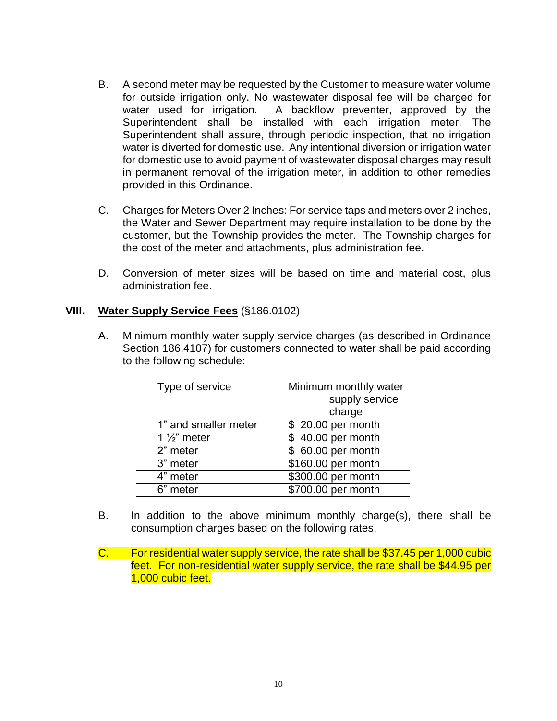- B. A second meter may be requested by the Customer to measure water volume for outside irrigation only. No wastewater disposal fee will be charged for water used for irrigation. A backflow preventer, approved by the Superintendent shall be installed with each irrigation meter. The Superintendent shall assure, through periodic inspection, that no irrigation water is diverted for domestic use. Any intentional diversion or irrigation water for domestic use to avoid payment of wastewater disposal charges may result in permanent removal of the irrigation meter, in addition to other remedies provided in this Ordinance.
- C. Charges for Meters Over 2 Inches: For service taps and meters over 2 inches, the Water and Sewer Department may require installation to be done by the customer, but the Township provides the meter. The Township charges for the cost of the meter and attachments, plus administration fee.
- D. Conversion of meter sizes will be based on time and material cost, plus administration fee.

### **VIII. Water Supply Service Fees** (§186.0102)

A. Minimum monthly water supply service charges (as described in Ordinance Section 186.4107) for customers connected to water shall be paid according to the following schedule:

| Type of service         | Minimum monthly water |
|-------------------------|-----------------------|
|                         | supply service        |
|                         | charge                |
| 1" and smaller meter    | \$ 20.00 per month    |
| 1 $\frac{1}{2}$ " meter | \$40.00 per month     |
| 2" meter                | \$ 60.00 per month    |
| 3" meter                | \$160.00 per month    |
| 4" meter                | \$300.00 per month    |
| 6" meter                | \$700.00 per month    |

- B. In addition to the above minimum monthly charge(s), there shall be consumption charges based on the following rates.
- C. For residential water supply service, the rate shall be \$37.45 per 1,000 cubic feet. For non-residential water supply service, the rate shall be \$44.95 per 1,000 cubic feet.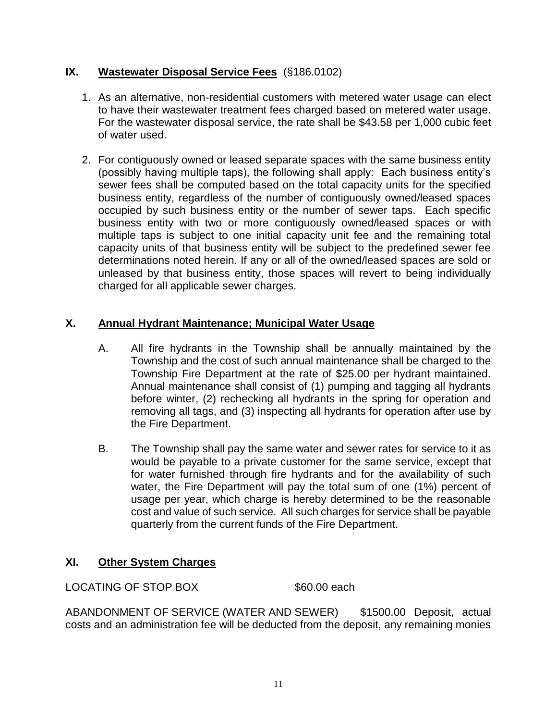# **IX. Wastewater Disposal Service Fees** (§186.0102)

- 1. As an alternative, non-residential customers with metered water usage can elect to have their wastewater treatment fees charged based on metered water usage. For the wastewater disposal service, the rate shall be \$43.58 per 1,000 cubic feet of water used.
- 2. For contiguously owned or leased separate spaces with the same business entity (possibly having multiple taps), the following shall apply: Each business entity's sewer fees shall be computed based on the total capacity units for the specified business entity, regardless of the number of contiguously owned/leased spaces occupied by such business entity or the number of sewer taps. Each specific business entity with two or more contiguously owned/leased spaces or with multiple taps is subject to one initial capacity unit fee and the remaining total capacity units of that business entity will be subject to the predefined sewer fee determinations noted herein. If any or all of the owned/leased spaces are sold or unleased by that business entity, those spaces will revert to being individually charged for all applicable sewer charges.

# **X. Annual Hydrant Maintenance; Municipal Water Usage**

- A. All fire hydrants in the Township shall be annually maintained by the Township and the cost of such annual maintenance shall be charged to the Township Fire Department at the rate of \$25.00 per hydrant maintained. Annual maintenance shall consist of (1) pumping and tagging all hydrants before winter, (2) rechecking all hydrants in the spring for operation and removing all tags, and (3) inspecting all hydrants for operation after use by the Fire Department.
- B. The Township shall pay the same water and sewer rates for service to it as would be payable to a private customer for the same service, except that for water furnished through fire hydrants and for the availability of such water, the Fire Department will pay the total sum of one (1%) percent of usage per year, which charge is hereby determined to be the reasonable cost and value of such service. All such charges for service shall be payable quarterly from the current funds of the Fire Department.

## **XI. Other System Charges**

LOCATING OF STOP BOX \$60.00 each

ABANDONMENT OF SERVICE (WATER AND SEWER) \$1500.00 Deposit, actual costs and an administration fee will be deducted from the deposit, any remaining monies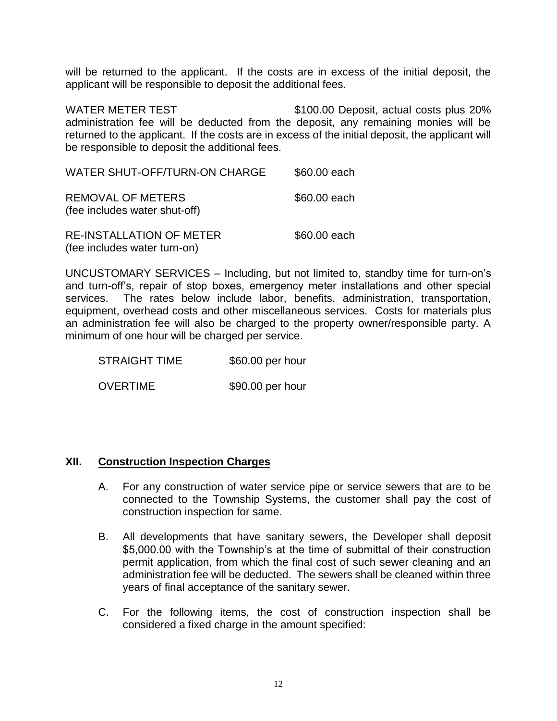will be returned to the applicant. If the costs are in excess of the initial deposit, the applicant will be responsible to deposit the additional fees.

WATER METER TEST \$100.00 Deposit, actual costs plus 20% administration fee will be deducted from the deposit, any remaining monies will be returned to the applicant. If the costs are in excess of the initial deposit, the applicant will be responsible to deposit the additional fees.

| WATER SHUT-OFF/TURN-ON CHARGE                                   | \$60.00 each |
|-----------------------------------------------------------------|--------------|
| <b>REMOVAL OF METERS</b><br>(fee includes water shut-off)       | \$60.00 each |
| <b>RE-INSTALLATION OF METER</b><br>(fee includes water turn-on) | \$60.00 each |

UNCUSTOMARY SERVICES – Including, but not limited to, standby time for turn-on's and turn-off's, repair of stop boxes, emergency meter installations and other special services. The rates below include labor, benefits, administration, transportation, equipment, overhead costs and other miscellaneous services. Costs for materials plus an administration fee will also be charged to the property owner/responsible party. A minimum of one hour will be charged per service.

STRAIGHT TIME \$60.00 per hour OVERTIME \$90.00 per hour

### **XII. Construction Inspection Charges**

- A. For any construction of water service pipe or service sewers that are to be connected to the Township Systems, the customer shall pay the cost of construction inspection for same.
- B. All developments that have sanitary sewers, the Developer shall deposit \$5,000.00 with the Township's at the time of submittal of their construction permit application, from which the final cost of such sewer cleaning and an administration fee will be deducted. The sewers shall be cleaned within three years of final acceptance of the sanitary sewer.
- C. For the following items, the cost of construction inspection shall be considered a fixed charge in the amount specified: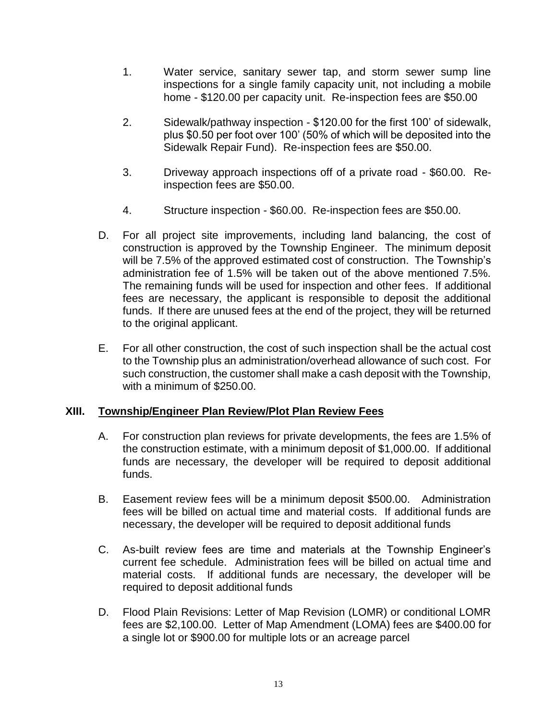- 1. Water service, sanitary sewer tap, and storm sewer sump line inspections for a single family capacity unit, not including a mobile home - \$120.00 per capacity unit. Re-inspection fees are \$50.00
- 2. Sidewalk/pathway inspection \$120.00 for the first 100' of sidewalk, plus \$0.50 per foot over 100' (50% of which will be deposited into the Sidewalk Repair Fund). Re-inspection fees are \$50.00.
- 3. Driveway approach inspections off of a private road \$60.00. Reinspection fees are \$50.00.
- 4. Structure inspection \$60.00. Re-inspection fees are \$50.00.
- D. For all project site improvements, including land balancing, the cost of construction is approved by the Township Engineer. The minimum deposit will be 7.5% of the approved estimated cost of construction. The Township's administration fee of 1.5% will be taken out of the above mentioned 7.5%. The remaining funds will be used for inspection and other fees. If additional fees are necessary, the applicant is responsible to deposit the additional funds. If there are unused fees at the end of the project, they will be returned to the original applicant.
- E. For all other construction, the cost of such inspection shall be the actual cost to the Township plus an administration/overhead allowance of such cost. For such construction, the customer shall make a cash deposit with the Township, with a minimum of \$250.00.

## **XIII. Township/Engineer Plan Review/Plot Plan Review Fees**

- A. For construction plan reviews for private developments, the fees are 1.5% of the construction estimate, with a minimum deposit of \$1,000.00. If additional funds are necessary, the developer will be required to deposit additional funds.
- B. Easement review fees will be a minimum deposit \$500.00. Administration fees will be billed on actual time and material costs. If additional funds are necessary, the developer will be required to deposit additional funds
- C. As-built review fees are time and materials at the Township Engineer's current fee schedule. Administration fees will be billed on actual time and material costs. If additional funds are necessary, the developer will be required to deposit additional funds
- D. Flood Plain Revisions: Letter of Map Revision (LOMR) or conditional LOMR fees are \$2,100.00. Letter of Map Amendment (LOMA) fees are \$400.00 for a single lot or \$900.00 for multiple lots or an acreage parcel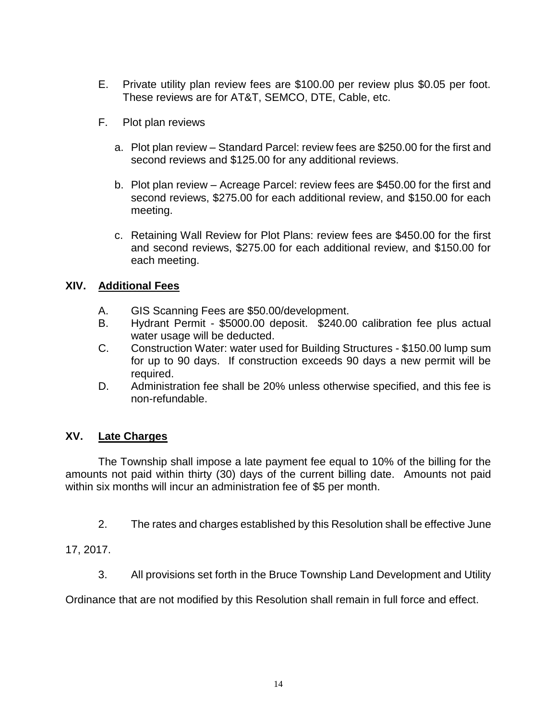- E. Private utility plan review fees are \$100.00 per review plus \$0.05 per foot. These reviews are for AT&T, SEMCO, DTE, Cable, etc.
- F. Plot plan reviews
	- a. Plot plan review Standard Parcel: review fees are \$250.00 for the first and second reviews and \$125.00 for any additional reviews.
	- b. Plot plan review Acreage Parcel: review fees are \$450.00 for the first and second reviews, \$275.00 for each additional review, and \$150.00 for each meeting.
	- c. Retaining Wall Review for Plot Plans: review fees are \$450.00 for the first and second reviews, \$275.00 for each additional review, and \$150.00 for each meeting.

### **XIV. Additional Fees**

- A. GIS Scanning Fees are \$50.00/development.
- B. Hydrant Permit \$5000.00 deposit. \$240.00 calibration fee plus actual water usage will be deducted.
- C. Construction Water: water used for Building Structures \$150.00 lump sum for up to 90 days. If construction exceeds 90 days a new permit will be required.
- D. Administration fee shall be 20% unless otherwise specified, and this fee is non-refundable.

## **XV. Late Charges**

The Township shall impose a late payment fee equal to 10% of the billing for the amounts not paid within thirty (30) days of the current billing date. Amounts not paid within six months will incur an administration fee of \$5 per month.

2. The rates and charges established by this Resolution shall be effective June

17, 2017.

3. All provisions set forth in the Bruce Township Land Development and Utility

Ordinance that are not modified by this Resolution shall remain in full force and effect.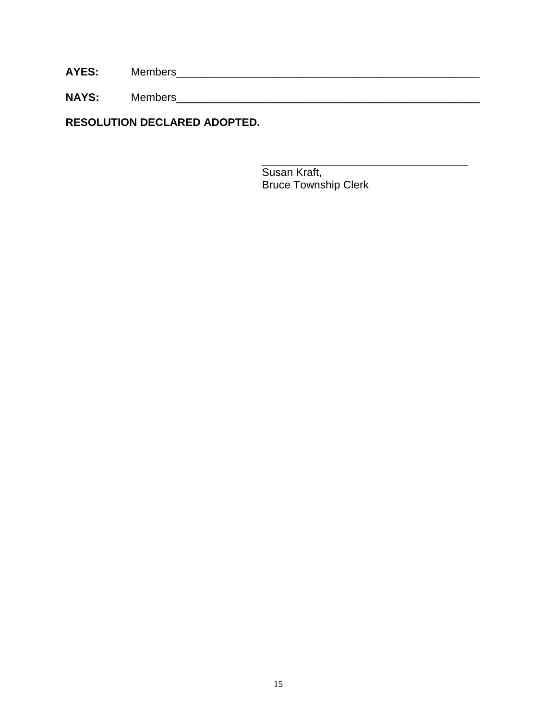**AYES:** Members\_\_\_\_\_\_\_\_\_\_\_\_\_\_\_\_\_\_\_\_\_\_\_\_\_\_\_\_\_\_\_\_\_\_\_\_\_\_\_\_\_\_\_\_\_\_\_\_\_\_

**NAYS:** Members\_\_\_\_\_\_\_\_\_\_\_\_\_\_\_\_\_\_\_\_\_\_\_\_\_\_\_\_\_\_\_\_\_\_\_\_\_\_\_\_\_\_\_\_\_\_\_\_\_\_

**RESOLUTION DECLARED ADOPTED.**

 $\overline{\phantom{a}}$  , which is a set of the set of the set of the set of the set of the set of the set of the set of the set of the set of the set of the set of the set of the set of the set of the set of the set of the set of th Susan Kraft, Bruce Township Clerk